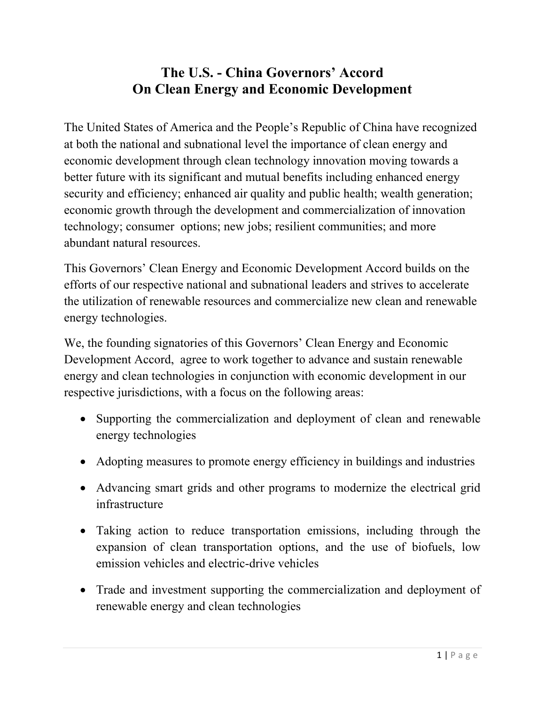## **The U.S. - China Governors' Accord On Clean Energy and Economic Development**

The United States of America and the People's Republic of China have recognized at both the national and subnational level the importance of clean energy and economic development through clean technology innovation moving towards a better future with its significant and mutual benefits including enhanced energy security and efficiency; enhanced air quality and public health; wealth generation; economic growth through the development and commercialization of innovation technology; consumer options; new jobs; resilient communities; and more abundant natural resources.

This Governors' Clean Energy and Economic Development Accord builds on the efforts of our respective national and subnational leaders and strives to accelerate the utilization of renewable resources and commercialize new clean and renewable energy technologies.

We, the founding signatories of this Governors' Clean Energy and Economic Development Accord, agree to work together to advance and sustain renewable energy and clean technologies in conjunction with economic development in our respective jurisdictions, with a focus on the following areas:

- Supporting the commercialization and deployment of clean and renewable energy technologies
- Adopting measures to promote energy efficiency in buildings and industries
- Advancing smart grids and other programs to modernize the electrical grid infrastructure
- Taking action to reduce transportation emissions, including through the expansion of clean transportation options, and the use of biofuels, low emission vehicles and electric-drive vehicles
- Trade and investment supporting the commercialization and deployment of renewable energy and clean technologies